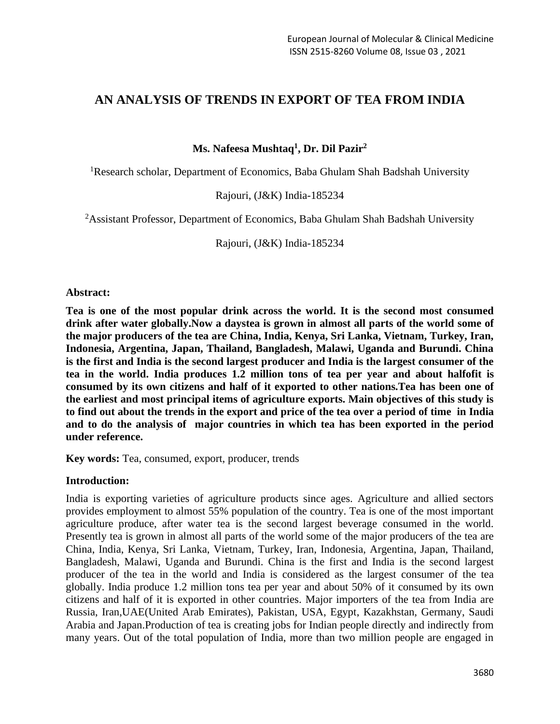# **AN ANALYSIS OF TRENDS IN EXPORT OF TEA FROM INDIA**

**Ms. Nafeesa Mushtaq<sup>1</sup> , Dr. Dil Pazir<sup>2</sup>**

<sup>1</sup>Research scholar, Department of Economics, Baba Ghulam Shah Badshah University

Rajouri, (J&K) India-185234

<sup>2</sup>Assistant Professor, Department of Economics, Baba Ghulam Shah Badshah University

Rajouri, (J&K) India-185234

### **Abstract:**

**Tea is one of the most popular drink across the world. It is the second most consumed drink after water globally.Now a daystea is grown in almost all parts of the world some of the major producers of the tea are China, India, Kenya, Sri Lanka, Vietnam, Turkey, Iran, Indonesia, Argentina, Japan, Thailand, Bangladesh, Malawi, Uganda and Burundi. China is the first and India is the second largest producer and India is the largest consumer of the tea in the world. India produces 1.2 million tons of tea per year and about halfofit is consumed by its own citizens and half of it exported to other nations.Tea has been one of the earliest and most principal items of agriculture exports. Main objectives of this study is to find out about the trends in the export and price of the tea over a period of time in India and to do the analysis of major countries in which tea has been exported in the period under reference.** 

**Key words:** Tea, consumed, export, producer, trends

### **Introduction:**

India is exporting varieties of agriculture products since ages. Agriculture and allied sectors provides employment to almost 55% population of the country. Tea is one of the most important agriculture produce, after water tea is the second largest beverage consumed in the world. Presently tea is grown in almost all parts of the world some of the major producers of the tea are China, India, Kenya, Sri Lanka, Vietnam, Turkey, Iran, Indonesia, Argentina, Japan, Thailand, Bangladesh, Malawi, Uganda and Burundi. China is the first and India is the second largest producer of the tea in the world and India is considered as the largest consumer of the tea globally. India produce 1.2 million tons tea per year and about 50% of it consumed by its own citizens and half of it is exported in other countries. Major importers of the tea from India are Russia, Iran,UAE(United Arab Emirates), Pakistan, USA, Egypt, Kazakhstan, Germany, Saudi Arabia and Japan.Production of tea is creating jobs for Indian people directly and indirectly from many years. Out of the total population of India, more than two million people are engaged in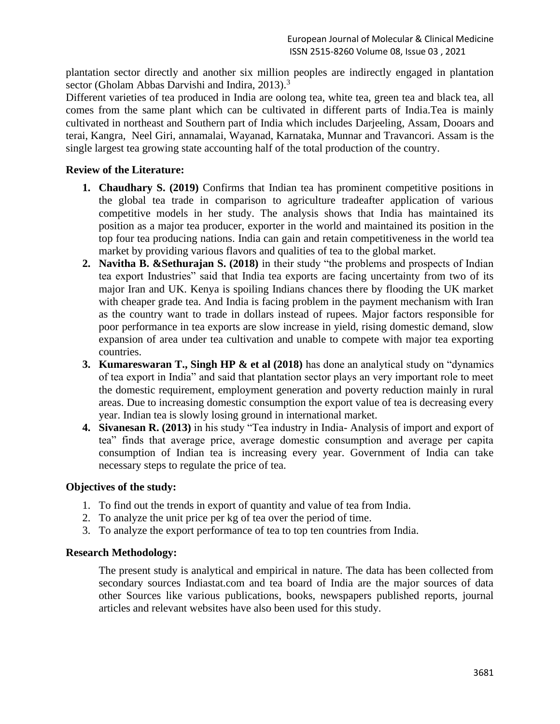plantation sector directly and another six million peoples are indirectly engaged in plantation sector (Gholam Abbas Darvishi and Indira, 2013).<sup>3</sup>

Different varieties of tea produced in India are oolong tea, white tea, green tea and black tea, all comes from the same plant which can be cultivated in different parts of India.Tea is mainly cultivated in northeast and Southern part of India which includes Darjeeling, Assam, Dooars and terai, Kangra, Neel Giri, annamalai, Wayanad, Karnataka, Munnar and Travancori. Assam is the single largest tea growing state accounting half of the total production of the country.

## **Review of the Literature:**

- **1. Chaudhary S. (2019)** Confirms that Indian tea has prominent competitive positions in the global tea trade in comparison to agriculture tradeafter application of various competitive models in her study. The analysis shows that India has maintained its position as a major tea producer, exporter in the world and maintained its position in the top four tea producing nations. India can gain and retain competitiveness in the world tea market by providing various flavors and qualities of tea to the global market.
- **2. Navitha B. &Sethurajan S. (2018)** in their study "the problems and prospects of Indian tea export Industries" said that India tea exports are facing uncertainty from two of its major Iran and UK. Kenya is spoiling Indians chances there by flooding the UK market with cheaper grade tea. And India is facing problem in the payment mechanism with Iran as the country want to trade in dollars instead of rupees. Major factors responsible for poor performance in tea exports are slow increase in yield, rising domestic demand, slow expansion of area under tea cultivation and unable to compete with major tea exporting countries.
- **3. Kumareswaran T., Singh HP & et al (2018)** has done an analytical study on "dynamics of tea export in India" and said that plantation sector plays an very important role to meet the domestic requirement, employment generation and poverty reduction mainly in rural areas. Due to increasing domestic consumption the export value of tea is decreasing every year. Indian tea is slowly losing ground in international market.
- **4. Sivanesan R. (2013)** in his study "Tea industry in India- Analysis of import and export of tea" finds that average price, average domestic consumption and average per capita consumption of Indian tea is increasing every year. Government of India can take necessary steps to regulate the price of tea.

## **Objectives of the study:**

- 1. To find out the trends in export of quantity and value of tea from India.
- 2. To analyze the unit price per kg of tea over the period of time.
- 3. To analyze the export performance of tea to top ten countries from India.

## **Research Methodology:**

The present study is analytical and empirical in nature. The data has been collected from secondary sources Indiastat.com and tea board of India are the major sources of data other Sources like various publications, books, newspapers published reports, journal articles and relevant websites have also been used for this study.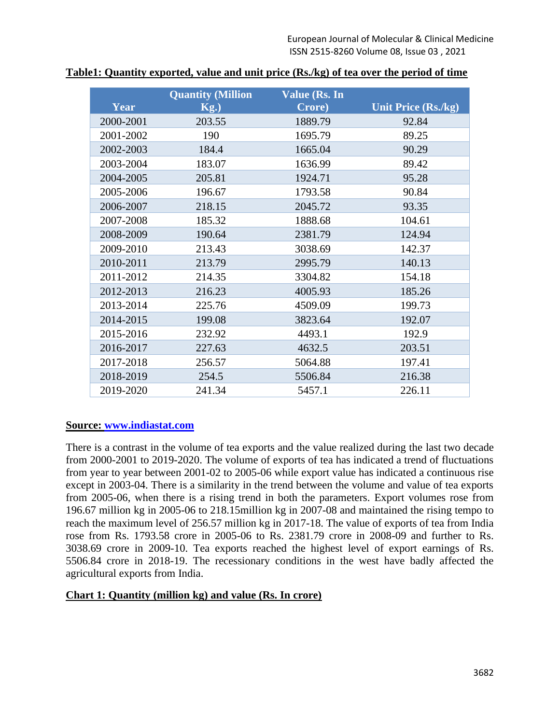|           | <b>Quantity (Million)</b> | <b>Value (Rs. In</b> |                            |  |  |  |
|-----------|---------------------------|----------------------|----------------------------|--|--|--|
| Year      | $Kg$ .)                   | Crore)               | <b>Unit Price (Rs./kg)</b> |  |  |  |
| 2000-2001 | 203.55                    | 1889.79              | 92.84                      |  |  |  |
| 2001-2002 | 190                       | 1695.79              | 89.25                      |  |  |  |
| 2002-2003 | 184.4                     | 1665.04              | 90.29                      |  |  |  |
| 2003-2004 | 183.07                    | 1636.99              | 89.42                      |  |  |  |
| 2004-2005 | 205.81                    | 1924.71              | 95.28                      |  |  |  |
| 2005-2006 | 196.67                    | 1793.58              | 90.84                      |  |  |  |
| 2006-2007 | 218.15                    | 2045.72              | 93.35                      |  |  |  |
| 2007-2008 | 185.32                    | 1888.68              | 104.61                     |  |  |  |
| 2008-2009 | 190.64                    | 2381.79              | 124.94                     |  |  |  |
| 2009-2010 | 213.43                    | 3038.69              | 142.37                     |  |  |  |
| 2010-2011 | 213.79                    | 2995.79              | 140.13                     |  |  |  |
| 2011-2012 | 214.35                    | 3304.82              | 154.18                     |  |  |  |
| 2012-2013 | 216.23                    | 4005.93              | 185.26                     |  |  |  |
| 2013-2014 | 225.76                    | 4509.09              | 199.73                     |  |  |  |
| 2014-2015 | 199.08                    | 3823.64              | 192.07                     |  |  |  |
| 2015-2016 | 232.92                    | 4493.1               | 192.9                      |  |  |  |
| 2016-2017 | 227.63                    | 4632.5               | 203.51                     |  |  |  |
| 2017-2018 | 256.57                    | 5064.88              | 197.41                     |  |  |  |
| 2018-2019 | 254.5                     | 5506.84              | 216.38                     |  |  |  |
| 2019-2020 | 241.34                    | 5457.1               | 226.11                     |  |  |  |

# **Table1: Quantity exported, value and unit price (Rs./kg) of tea over the period of time**

## **Source: [www.indiastat.com](http://www.indiastat.com/)**

There is a contrast in the volume of tea exports and the value realized during the last two decade from 2000-2001 to 2019-2020. The volume of exports of tea has indicated a trend of fluctuations from year to year between 2001-02 to 2005-06 while export value has indicated a continuous rise except in 2003-04. There is a similarity in the trend between the volume and value of tea exports from 2005-06, when there is a rising trend in both the parameters. Export volumes rose from 196.67 million kg in 2005-06 to 218.15million kg in 2007-08 and maintained the rising tempo to reach the maximum level of 256.57 million kg in 2017-18. The value of exports of tea from India rose from Rs. 1793.58 crore in 2005-06 to Rs. 2381.79 crore in 2008-09 and further to Rs. 3038.69 crore in 2009-10. Tea exports reached the highest level of export earnings of Rs. 5506.84 crore in 2018-19. The recessionary conditions in the west have badly affected the agricultural exports from India.

# **Chart 1: Quantity (million kg) and value (Rs. In crore)**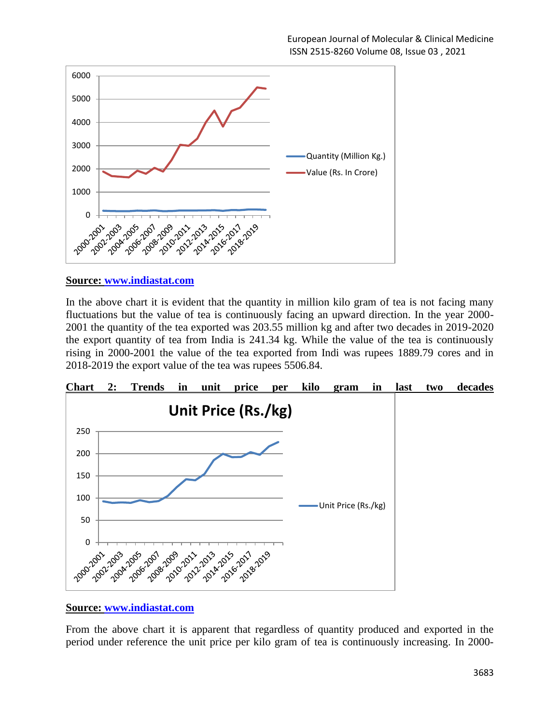

## **Source: [www.indiastat.com](http://www.indiastat.com/)**

In the above chart it is evident that the quantity in million kilo gram of tea is not facing many fluctuations but the value of tea is continuously facing an upward direction. In the year 2000- 2001 the quantity of the tea exported was 203.55 million kg and after two decades in 2019-2020 the export quantity of tea from India is 241.34 kg. While the value of the tea is continuously rising in 2000-2001 the value of the tea exported from Indi was rupees 1889.79 cores and in 2018-2019 the export value of the tea was rupees 5506.84.



## **Source: [www.indiastat.com](http://www.indiastat.com/)**

From the above chart it is apparent that regardless of quantity produced and exported in the period under reference the unit price per kilo gram of tea is continuously increasing. In 2000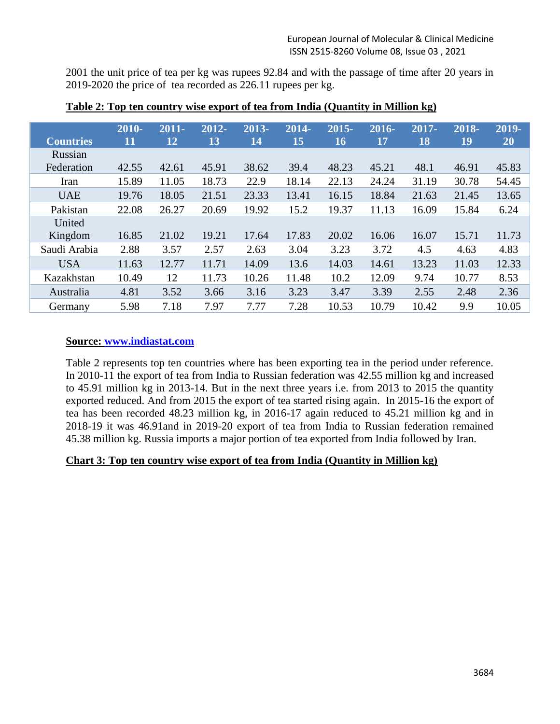2001 the unit price of tea per kg was rupees 92.84 and with the passage of time after 20 years in 2019-2020 the price of tea recorded as 226.11 rupees per kg.

| <b>Countries</b> | 2010-<br>11 | $2011 -$<br>12 | $2012 -$<br>13 | 2013-<br>14 | 2014-<br>15 | $2015 -$<br>16 | $2016 -$<br>17 | $2017 -$<br>18 | 2018-<br>19 | 2019-<br>20 |
|------------------|-------------|----------------|----------------|-------------|-------------|----------------|----------------|----------------|-------------|-------------|
| Russian          |             |                |                |             |             |                |                |                |             |             |
| Federation       | 42.55       | 42.61          | 45.91          | 38.62       | 39.4        | 48.23          | 45.21          | 48.1           | 46.91       | 45.83       |
| Iran             | 15.89       | 11.05          | 18.73          | 22.9        | 18.14       | 22.13          | 24.24          | 31.19          | 30.78       | 54.45       |
| <b>UAE</b>       | 19.76       | 18.05          | 21.51          | 23.33       | 13.41       | 16.15          | 18.84          | 21.63          | 21.45       | 13.65       |
| Pakistan         | 22.08       | 26.27          | 20.69          | 19.92       | 15.2        | 19.37          | 11.13          | 16.09          | 15.84       | 6.24        |
| United           |             |                |                |             |             |                |                |                |             |             |
| Kingdom          | 16.85       | 21.02          | 19.21          | 17.64       | 17.83       | 20.02          | 16.06          | 16.07          | 15.71       | 11.73       |
| Saudi Arabia     | 2.88        | 3.57           | 2.57           | 2.63        | 3.04        | 3.23           | 3.72           | 4.5            | 4.63        | 4.83        |
| <b>USA</b>       | 11.63       | 12.77          | 11.71          | 14.09       | 13.6        | 14.03          | 14.61          | 13.23          | 11.03       | 12.33       |
| Kazakhstan       | 10.49       | 12             | 11.73          | 10.26       | 11.48       | 10.2           | 12.09          | 9.74           | 10.77       | 8.53        |
| Australia        | 4.81        | 3.52           | 3.66           | 3.16        | 3.23        | 3.47           | 3.39           | 2.55           | 2.48        | 2.36        |
| Germany          | 5.98        | 7.18           | 7.97           | 7.77        | 7.28        | 10.53          | 10.79          | 10.42          | 9.9         | 10.05       |

**Table 2: Top ten country wise export of tea from India (Quantity in Million kg)**

# **Source: [www.indiastat.com](http://www.indiastat.com/)**

Table 2 represents top ten countries where has been exporting tea in the period under reference. In 2010-11 the export of tea from India to Russian federation was 42.55 million kg and increased to 45.91 million kg in 2013-14. But in the next three years i.e. from 2013 to 2015 the quantity exported reduced. And from 2015 the export of tea started rising again. In 2015-16 the export of tea has been recorded 48.23 million kg, in 2016-17 again reduced to 45.21 million kg and in 2018-19 it was 46.91and in 2019-20 export of tea from India to Russian federation remained 45.38 million kg. Russia imports a major portion of tea exported from India followed by Iran.

## **Chart 3: Top ten country wise export of tea from India (Quantity in Million kg)**